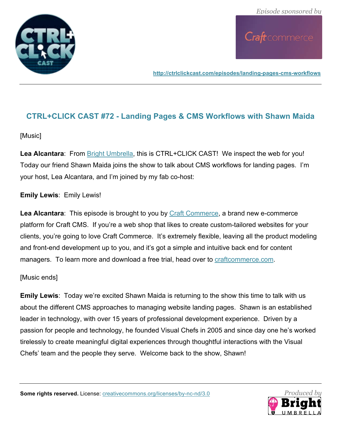

**http://ctrlclickcast.com/episodes/landing-pages-cms-workflows**

# **CTRL+CLICK CAST #72 - Landing Pages & CMS Workflows with Shawn Maida**

#### [Music]

**Lea Alcantara**: From Bright Umbrella, this is CTRL+CLICK CAST! We inspect the web for you! Today our friend Shawn Maida joins the show to talk about CMS workflows for landing pages. I'm your host, Lea Alcantara, and I'm joined by my fab co-host:

## **Emily Lewis**: Emily Lewis!

**Lea Alcantara**: This episode is brought to you by Craft Commerce, a brand new e-commerce platform for Craft CMS. If you're a web shop that likes to create custom-tailored websites for your clients, you're going to love Craft Commerce. It's extremely flexible, leaving all the product modeling and front-end development up to you, and it's got a simple and intuitive back end for content managers. To learn more and download a free trial, head over to **craftcommerce.com**.

#### [Music ends]

**Emily Lewis**: Today we're excited Shawn Maida is returning to the show this time to talk with us about the different CMS approaches to managing website landing pages. Shawn is an established leader in technology, with over 15 years of professional development experience. Driven by a passion for people and technology, he founded Visual Chefs in 2005 and since day one he's worked tirelessly to create meaningful digital experiences through thoughtful interactions with the Visual Chefs' team and the people they serve. Welcome back to the show, Shawn!

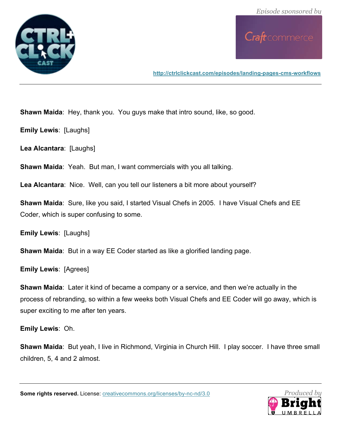

**http://ctrlclickcast.com/episodes/landing-pages-cms-workflows**

**Shawn Maida**: Hey, thank you. You guys make that intro sound, like, so good.

**Emily Lewis**: [Laughs]

**Lea Alcantara**: [Laughs]

**Shawn Maida**: Yeah. But man, I want commercials with you all talking.

**Lea Alcantara**: Nice. Well, can you tell our listeners a bit more about yourself?

**Shawn Maida**: Sure, like you said, I started Visual Chefs in 2005. I have Visual Chefs and EE Coder, which is super confusing to some.

**Emily Lewis**: [Laughs]

**Shawn Maida**: But in a way EE Coder started as like a glorified landing page.

**Emily Lewis**: [Agrees]

**Shawn Maida**: Later it kind of became a company or a service, and then we're actually in the process of rebranding, so within a few weeks both Visual Chefs and EE Coder will go away, which is super exciting to me after ten years.

**Emily Lewis**: Oh.

**Shawn Maida**: But yeah, I live in Richmond, Virginia in Church Hill. I play soccer. I have three small children, 5, 4 and 2 almost.

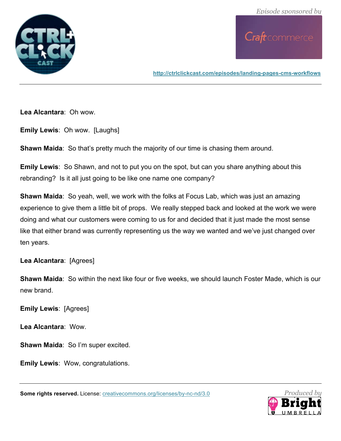

**http://ctrlclickcast.com/episodes/landing-pages-cms-workflows**

**Lea Alcantara**: Oh wow.

**Emily Lewis**: Oh wow. [Laughs]

**Shawn Maida**: So that's pretty much the majority of our time is chasing them around.

**Emily Lewis**: So Shawn, and not to put you on the spot, but can you share anything about this rebranding? Is it all just going to be like one name one company?

**Shawn Maida**: So yeah, well, we work with the folks at Focus Lab, which was just an amazing experience to give them a little bit of props. We really stepped back and looked at the work we were doing and what our customers were coming to us for and decided that it just made the most sense like that either brand was currently representing us the way we wanted and we've just changed over ten years.

**Lea Alcantara**: [Agrees]

**Shawn Maida**: So within the next like four or five weeks, we should launch Foster Made, which is our new brand.

**Emily Lewis**: [Agrees]

**Lea Alcantara**: Wow.

**Shawn Maida**: So I'm super excited.

**Emily Lewis**: Wow, congratulations.

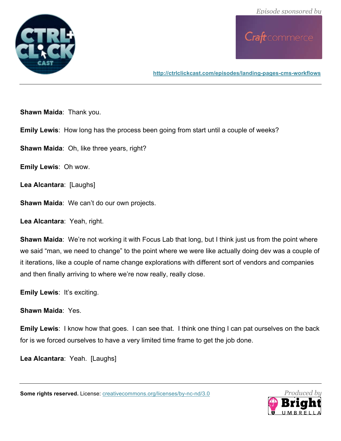

**http://ctrlclickcast.com/episodes/landing-pages-cms-workflows**

**Shawn Maida**: Thank you.

**Emily Lewis**: How long has the process been going from start until a couple of weeks?

**Shawn Maida**: Oh, like three years, right?

**Emily Lewis**: Oh wow.

**Lea Alcantara**: [Laughs]

**Shawn Maida**: We can't do our own projects.

**Lea Alcantara**: Yeah, right.

**Shawn Maida**: We're not working it with Focus Lab that long, but I think just us from the point where we said "man, we need to change" to the point where we were like actually doing dev was a couple of it iterations, like a couple of name change explorations with different sort of vendors and companies and then finally arriving to where we're now really, really close.

**Emily Lewis**: It's exciting.

**Shawn Maida**: Yes.

**Emily Lewis**: I know how that goes. I can see that. I think one thing I can pat ourselves on the back for is we forced ourselves to have a very limited time frame to get the job done.

**Lea Alcantara**: Yeah. [Laughs]

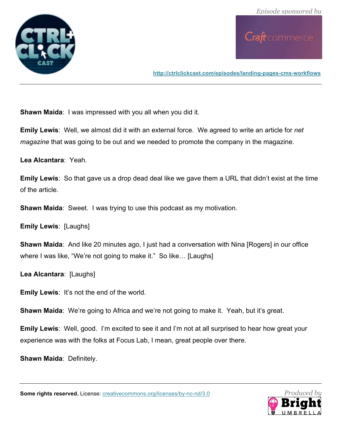

**http://ctrlclickcast.com/episodes/landing-pages-cms-workflows**

**Shawn Maida**: I was impressed with you all when you did it.

**Emily Lewis**: Well, we almost did it with an external force. We agreed to write an article for *net magazine* that was going to be out and we needed to promote the company in the magazine.

**Lea Alcantara**: Yeah.

**Emily Lewis**: So that gave us a drop dead deal like we gave them a URL that didn't exist at the time of the article.

**Shawn Maida**: Sweet. I was trying to use this podcast as my motivation.

**Emily Lewis**: [Laughs]

**Shawn Maida**: And like 20 minutes ago, I just had a conversation with Nina [Rogers] in our office where I was like, "We're not going to make it." So like... [Laughs]

**Lea Alcantara**: [Laughs]

**Emily Lewis**: It's not the end of the world.

**Shawn Maida**: We're going to Africa and we're not going to make it. Yeah, but it's great.

**Emily Lewis**: Well, good. I'm excited to see it and I'm not at all surprised to hear how great your experience was with the folks at Focus Lab, I mean, great people over there.

**Shawn Maida**: Definitely.

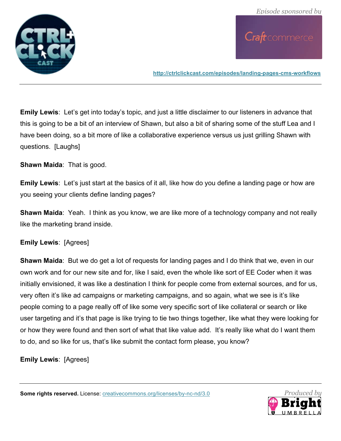

**http://ctrlclickcast.com/episodes/landing-pages-cms-workflows**

**Emily Lewis**: Let's get into today's topic, and just a little disclaimer to our listeners in advance that this is going to be a bit of an interview of Shawn, but also a bit of sharing some of the stuff Lea and I have been doing, so a bit more of like a collaborative experience versus us just grilling Shawn with questions. [Laughs]

**Shawn Maida**: That is good.

**Emily Lewis**: Let's just start at the basics of it all, like how do you define a landing page or how are you seeing your clients define landing pages?

**Shawn Maida**: Yeah. I think as you know, we are like more of a technology company and not really like the marketing brand inside.

#### **Emily Lewis**: [Agrees]

**Shawn Maida**: But we do get a lot of requests for landing pages and I do think that we, even in our own work and for our new site and for, like I said, even the whole like sort of EE Coder when it was initially envisioned, it was like a destination I think for people come from external sources, and for us, very often it's like ad campaigns or marketing campaigns, and so again, what we see is it's like people coming to a page really off of like some very specific sort of like collateral or search or like user targeting and it's that page is like trying to tie two things together, like what they were looking for or how they were found and then sort of what that like value add. It's really like what do I want them to do, and so like for us, that's like submit the contact form please, you know?

**Emily Lewis**: [Agrees]

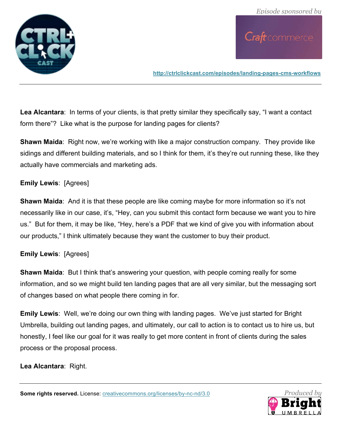

**http://ctrlclickcast.com/episodes/landing-pages-cms-workflows**

**Lea Alcantara**: In terms of your clients, is that pretty similar they specifically say, "I want a contact form there"? Like what is the purpose for landing pages for clients?

**Shawn Maida**: Right now, we're working with like a major construction company. They provide like sidings and different building materials, and so I think for them, it's they're out running these, like they actually have commercials and marketing ads.

### **Emily Lewis**: [Agrees]

**Shawn Maida**: And it is that these people are like coming maybe for more information so it's not necessarily like in our case, it's, "Hey, can you submit this contact form because we want you to hire us." But for them, it may be like, "Hey, here's a PDF that we kind of give you with information about our products," I think ultimately because they want the customer to buy their product.

## **Emily Lewis**: [Agrees]

**Shawn Maida:** But I think that's answering your question, with people coming really for some information, and so we might build ten landing pages that are all very similar, but the messaging sort of changes based on what people there coming in for.

**Emily Lewis**: Well, we're doing our own thing with landing pages. We've just started for Bright Umbrella, building out landing pages, and ultimately, our call to action is to contact us to hire us, but honestly, I feel like our goal for it was really to get more content in front of clients during the sales process or the proposal process.

**Lea Alcantara**: Right.

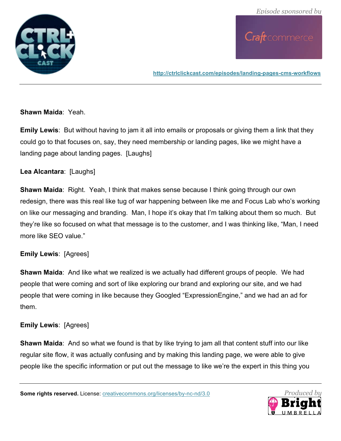

**http://ctrlclickcast.com/episodes/landing-pages-cms-workflows**

#### **Shawn Maida**: Yeah.

**Emily Lewis**: But without having to jam it all into emails or proposals or giving them a link that they could go to that focuses on, say, they need membership or landing pages, like we might have a landing page about landing pages. [Laughs]

#### **Lea Alcantara**: [Laughs]

**Shawn Maida**: Right. Yeah, I think that makes sense because I think going through our own redesign, there was this real like tug of war happening between like me and Focus Lab who's working on like our messaging and branding. Man, I hope it's okay that I'm talking about them so much. But they're like so focused on what that message is to the customer, and I was thinking like, "Man, I need more like SEO value."

#### **Emily Lewis**: [Agrees]

**Shawn Maida**: And like what we realized is we actually had different groups of people. We had people that were coming and sort of like exploring our brand and exploring our site, and we had people that were coming in like because they Googled "ExpressionEngine," and we had an ad for them.

#### **Emily Lewis**: [Agrees]

**Shawn Maida**: And so what we found is that by like trying to jam all that content stuff into our like regular site flow, it was actually confusing and by making this landing page, we were able to give people like the specific information or put out the message to like we're the expert in this thing you

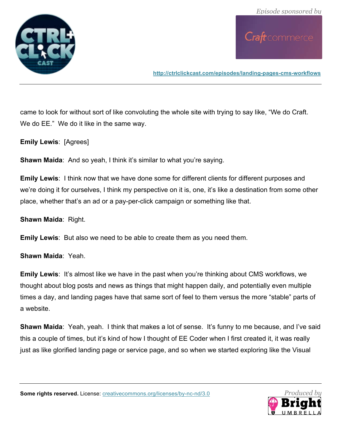

**http://ctrlclickcast.com/episodes/landing-pages-cms-workflows**

came to look for without sort of like convoluting the whole site with trying to say like, "We do Craft. We do EE." We do it like in the same way.

**Emily Lewis**: [Agrees]

**Shawn Maida**: And so yeah, I think it's similar to what you're saying.

**Emily Lewis**: I think now that we have done some for different clients for different purposes and we're doing it for ourselves, I think my perspective on it is, one, it's like a destination from some other place, whether that's an ad or a pay-per-click campaign or something like that.

**Shawn Maida**: Right.

**Emily Lewis**: But also we need to be able to create them as you need them.

**Shawn Maida**: Yeah.

**Emily Lewis:** It's almost like we have in the past when you're thinking about CMS workflows, we thought about blog posts and news as things that might happen daily, and potentially even multiple times a day, and landing pages have that same sort of feel to them versus the more "stable" parts of a website.

**Shawn Maida**: Yeah, yeah. I think that makes a lot of sense. It's funny to me because, and I've said this a couple of times, but it's kind of how I thought of EE Coder when I first created it, it was really just as like glorified landing page or service page, and so when we started exploring like the Visual

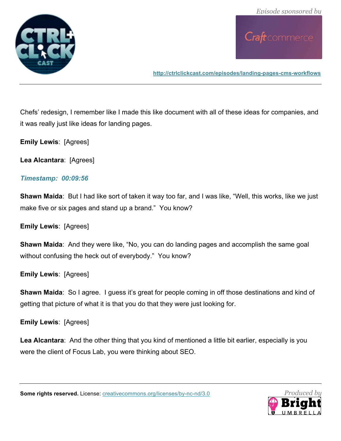

**http://ctrlclickcast.com/episodes/landing-pages-cms-workflows**

Chefs' redesign, I remember like I made this like document with all of these ideas for companies, and it was really just like ideas for landing pages.

**Emily Lewis**: [Agrees]

**Lea Alcantara**: [Agrees]

### *Timestamp: 00:09:56*

**Shawn Maida**: But I had like sort of taken it way too far, and I was like, "Well, this works, like we just make five or six pages and stand up a brand." You know?

**Emily Lewis**: [Agrees]

**Shawn Maida**: And they were like, "No, you can do landing pages and accomplish the same goal without confusing the heck out of everybody." You know?

**Emily Lewis**: [Agrees]

**Shawn Maida**: So I agree. I guess it's great for people coming in off those destinations and kind of getting that picture of what it is that you do that they were just looking for.

**Emily Lewis**: [Agrees]

**Lea Alcantara**: And the other thing that you kind of mentioned a little bit earlier, especially is you were the client of Focus Lab, you were thinking about SEO.



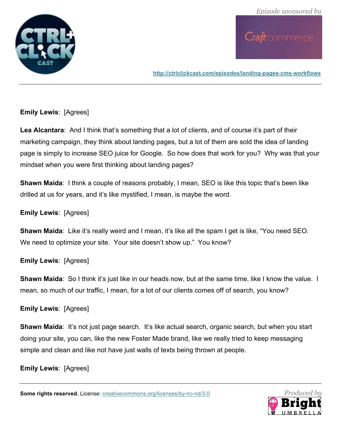

**http://ctrlclickcast.com/episodes/landing-pages-cms-workflows**

#### **Emily Lewis**: [Agrees]

Lea Alcantara: And I think that's something that a lot of clients, and of course it's part of their marketing campaign, they think about landing pages, but a lot of them are sold the idea of landing page is simply to increase SEO juice for Google. So how does that work for you? Why was that your mindset when you were first thinking about landing pages?

**Shawn Maida**: I think a couple of reasons probably, I mean, SEO is like this topic that's been like drilled at us for years, and it's like mystified, I mean, is maybe the word.

### **Emily Lewis**: [Agrees]

**Shawn Maida**: Like it's really weird and I mean, it's like all the spam I get is like, "You need SEO. We need to optimize your site. Your site doesn't show up." You know?

#### **Emily Lewis**: [Agrees]

**Shawn Maida**: So I think it's just like in our heads now, but at the same time, like I know the value. I mean, so much of our traffic, I mean, for a lot of our clients comes off of search, you know?

#### **Emily Lewis**: [Agrees]

**Shawn Maida:** It's not just page search. It's like actual search, organic search, but when you start doing your site, you can, like the new Foster Made brand, like we really tried to keep messaging simple and clean and like not have just walls of texts being thrown at people.

#### **Emily Lewis**: [Agrees]

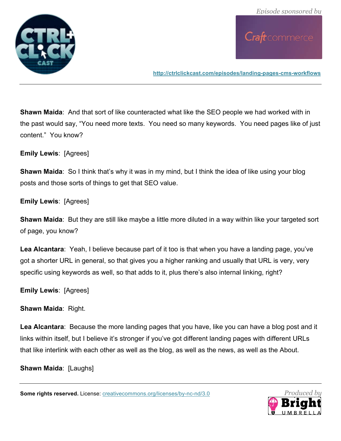

**http://ctrlclickcast.com/episodes/landing-pages-cms-workflows**

**Shawn Maida**: And that sort of like counteracted what like the SEO people we had worked with in the past would say, "You need more texts. You need so many keywords. You need pages like of just content." You know?

**Emily Lewis**: [Agrees]

**Shawn Maida**: So I think that's why it was in my mind, but I think the idea of like using your blog posts and those sorts of things to get that SEO value.

**Emily Lewis**: [Agrees]

**Shawn Maida**: But they are still like maybe a little more diluted in a way within like your targeted sort of page, you know?

**Lea Alcantara**: Yeah, I believe because part of it too is that when you have a landing page, you've got a shorter URL in general, so that gives you a higher ranking and usually that URL is very, very specific using keywords as well, so that adds to it, plus there's also internal linking, right?

**Emily Lewis**: [Agrees]

**Shawn Maida**: Right.

**Lea Alcantara**: Because the more landing pages that you have, like you can have a blog post and it links within itself, but I believe it's stronger if you've got different landing pages with different URLs that like interlink with each other as well as the blog, as well as the news, as well as the About.

**Shawn Maida**: [Laughs]

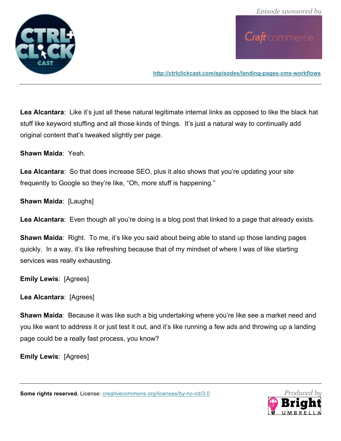

**http://ctrlclickcast.com/episodes/landing-pages-cms-workflows**

**Lea Alcantara**: Like it's just all these natural legitimate internal links as opposed to like the black hat stuff like keyword stuffing and all those kinds of things. It's just a natural way to continually add original content that's tweaked slightly per page.

**Shawn Maida**: Yeah.

**Lea Alcantara**: So that does increase SEO, plus it also shows that you're updating your site frequently to Google so they're like, "Oh, more stuff is happening."

**Shawn Maida**: [Laughs]

**Lea Alcantara**: Even though all you're doing is a blog post that linked to a page that already exists.

**Shawn Maida**: Right. To me, it's like you said about being able to stand up those landing pages quickly. In a way, it's like refreshing because that of my mindset of where I was of like starting services was really exhausting.

**Emily Lewis**: [Agrees]

**Lea Alcantara**: [Agrees]

**Shawn Maida**: Because it was like such a big undertaking where you're like see a market need and you like want to address it or just test it out, and it's like running a few ads and throwing up a landing page could be a really fast process, you know?

**Emily Lewis**: [Agrees]

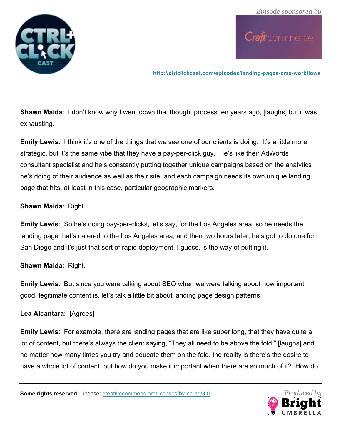

**http://ctrlclickcast.com/episodes/landing-pages-cms-workflows**

**Shawn Maida**: I don't know why I went down that thought process ten years ago, [laughs] but it was exhausting.

**Emily Lewis:** I think it's one of the things that we see one of our clients is doing. It's a little more strategic, but it's the same vibe that they have a pay-per-click guy. He's like their AdWords consultant specialist and he's constantly putting together unique campaigns based on the analytics he's doing of their audience as well as their site, and each campaign needs its own unique landing page that hits, at least in this case, particular geographic markers.

### **Shawn Maida**: Right.

**Emily Lewis**: So he's doing pay-per-clicks, let's say, for the Los Angeles area, so he needs the landing page that's catered to the Los Angeles area, and then two hours later, he's got to do one for San Diego and it's just that sort of rapid deployment, I guess, is the way of putting it.

#### **Shawn Maida**: Right.

**Emily Lewis**: But since you were talking about SEO when we were talking about how important good, legitimate content is, let's talk a little bit about landing page design patterns.

#### **Lea Alcantara**: [Agrees]

**Emily Lewis**: For example, there are landing pages that are like super long, that they have quite a lot of content, but there's always the client saying, "They all need to be above the fold," [laughs] and no matter how many times you try and educate them on the fold, the reality is there's the desire to have a whole lot of content, but how do you make it important when there are so much of it? How do

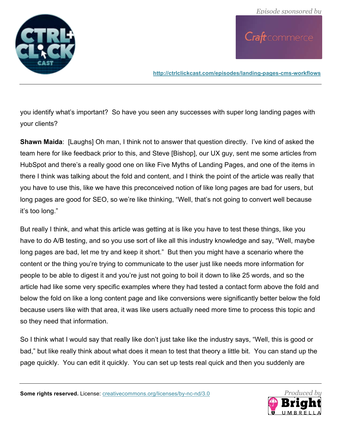

**http://ctrlclickcast.com/episodes/landing-pages-cms-workflows**

you identify what's important? So have you seen any successes with super long landing pages with your clients?

**Shawn Maida**: [Laughs] Oh man, I think not to answer that question directly. I've kind of asked the team here for like feedback prior to this, and Steve [Bishop], our UX guy, sent me some articles from HubSpot and there's a really good one on like Five Myths of Landing Pages, and one of the items in there I think was talking about the fold and content, and I think the point of the article was really that you have to use this, like we have this preconceived notion of like long pages are bad for users, but long pages are good for SEO, so we're like thinking, "Well, that's not going to convert well because it's too long."

But really I think, and what this article was getting at is like you have to test these things, like you have to do A/B testing, and so you use sort of like all this industry knowledge and say, "Well, maybe long pages are bad, let me try and keep it short." But then you might have a scenario where the content or the thing you're trying to communicate to the user just like needs more information for people to be able to digest it and you're just not going to boil it down to like 25 words, and so the article had like some very specific examples where they had tested a contact form above the fold and below the fold on like a long content page and like conversions were significantly better below the fold because users like with that area, it was like users actually need more time to process this topic and so they need that information.

So I think what I would say that really like don't just take like the industry says, "Well, this is good or bad," but like really think about what does it mean to test that theory a little bit. You can stand up the page quickly. You can edit it quickly. You can set up tests real quick and then you suddenly are



**Some rights reserved.** License: creativecommons.org/licenses/by-nc-nd/3.0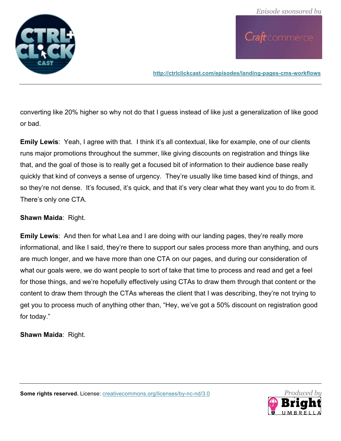

**http://ctrlclickcast.com/episodes/landing-pages-cms-workflows**

converting like 20% higher so why not do that I guess instead of like just a generalization of like good or bad.

**Emily Lewis**: Yeah, I agree with that. I think it's all contextual, like for example, one of our clients runs major promotions throughout the summer, like giving discounts on registration and things like that, and the goal of those is to really get a focused bit of information to their audience base really quickly that kind of conveys a sense of urgency. They're usually like time based kind of things, and so they're not dense. It's focused, it's quick, and that it's very clear what they want you to do from it. There's only one CTA.

#### **Shawn Maida**: Right.

**Emily Lewis**: And then for what Lea and I are doing with our landing pages, they're really more informational, and like I said, they're there to support our sales process more than anything, and ours are much longer, and we have more than one CTA on our pages, and during our consideration of what our goals were, we do want people to sort of take that time to process and read and get a feel for those things, and we're hopefully effectively using CTAs to draw them through that content or the content to draw them through the CTAs whereas the client that I was describing, they're not trying to get you to process much of anything other than, "Hey, we've got a 50% discount on registration good for today."

**Shawn Maida**: Right.

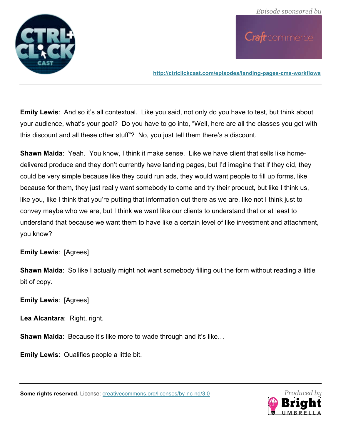

**http://ctrlclickcast.com/episodes/landing-pages-cms-workflows**

**Emily Lewis**: And so it's all contextual. Like you said, not only do you have to test, but think about your audience, what's your goal? Do you have to go into, "Well, here are all the classes you get with this discount and all these other stuff"? No, you just tell them there's a discount.

**Shawn Maida**: Yeah. You know, I think it make sense. Like we have client that sells like homedelivered produce and they don't currently have landing pages, but I'd imagine that if they did, they could be very simple because like they could run ads, they would want people to fill up forms, like because for them, they just really want somebody to come and try their product, but like I think us, like you, like I think that you're putting that information out there as we are, like not I think just to convey maybe who we are, but I think we want like our clients to understand that or at least to understand that because we want them to have like a certain level of like investment and attachment, you know?

#### **Emily Lewis**: [Agrees]

**Shawn Maida**: So like I actually might not want somebody filling out the form without reading a little bit of copy.

**Emily Lewis**: [Agrees]

**Lea Alcantara**: Right, right.

**Shawn Maida: Because it's like more to wade through and it's like...** 

**Emily Lewis**: Qualifies people a little bit.



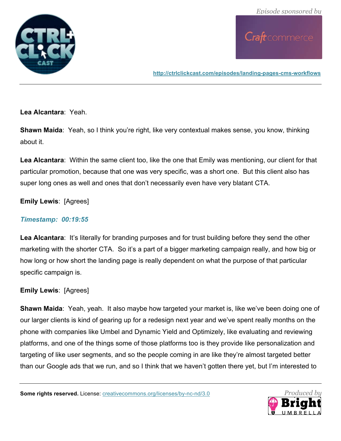

**http://ctrlclickcast.com/episodes/landing-pages-cms-workflows**

**Lea Alcantara**: Yeah.

**Shawn Maida:** Yeah, so I think you're right, like very contextual makes sense, you know, thinking about it.

**Lea Alcantara**: Within the same client too, like the one that Emily was mentioning, our client for that particular promotion, because that one was very specific, was a short one. But this client also has super long ones as well and ones that don't necessarily even have very blatant CTA.

**Emily Lewis**: [Agrees]

### *Timestamp: 00:19:55*

**Lea Alcantara**: It's literally for branding purposes and for trust building before they send the other marketing with the shorter CTA. So it's a part of a bigger marketing campaign really, and how big or how long or how short the landing page is really dependent on what the purpose of that particular specific campaign is.

**Emily Lewis**: [Agrees]

**Shawn Maida**: Yeah, yeah. It also maybe how targeted your market is, like we've been doing one of our larger clients is kind of gearing up for a redesign next year and we've spent really months on the phone with companies like Umbel and Dynamic Yield and Optimizely, like evaluating and reviewing platforms, and one of the things some of those platforms too is they provide like personalization and targeting of like user segments, and so the people coming in are like they're almost targeted better than our Google ads that we run, and so I think that we haven't gotten there yet, but I'm interested to

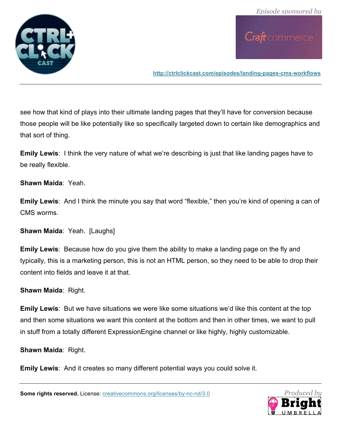

**http://ctrlclickcast.com/episodes/landing-pages-cms-workflows**

see how that kind of plays into their ultimate landing pages that they'll have for conversion because those people will be like potentially like so specifically targeted down to certain like demographics and that sort of thing.

**Emily Lewis**: I think the very nature of what we're describing is just that like landing pages have to be really flexible.

**Shawn Maida**: Yeah.

**Emily Lewis**: And I think the minute you say that word "flexible," then you're kind of opening a can of CMS worms.

**Shawn Maida**: Yeah. [Laughs]

**Emily Lewis**: Because how do you give them the ability to make a landing page on the fly and typically, this is a marketing person, this is not an HTML person, so they need to be able to drop their content into fields and leave it at that.

**Shawn Maida**: Right.

**Emily Lewis**: But we have situations we were like some situations we'd like this content at the top and then some situations we want this content at the bottom and then in other times, we want to pull in stuff from a totally different ExpressionEngine channel or like highly, highly customizable.

**Shawn Maida**: Right.

**Emily Lewis**: And it creates so many different potential ways you could solve it.

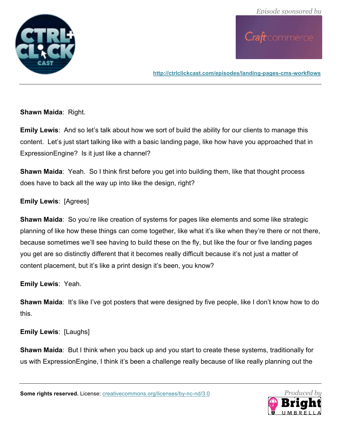

**http://ctrlclickcast.com/episodes/landing-pages-cms-workflows**

**Shawn Maida**: Right.

**Emily Lewis**: And so let's talk about how we sort of build the ability for our clients to manage this content. Let's just start talking like with a basic landing page, like how have you approached that in ExpressionEngine? Is it just like a channel?

**Shawn Maida:** Yeah. So I think first before you get into building them, like that thought process does have to back all the way up into like the design, right?

**Emily Lewis**: [Agrees]

**Shawn Maida**: So you're like creation of systems for pages like elements and some like strategic planning of like how these things can come together, like what it's like when they're there or not there, because sometimes we'll see having to build these on the fly, but like the four or five landing pages you get are so distinctly different that it becomes really difficult because it's not just a matter of content placement, but it's like a print design it's been, you know?

**Emily Lewis**: Yeah.

**Shawn Maida:** It's like I've got posters that were designed by five people, like I don't know how to do this.

**Emily Lewis**: [Laughs]

**Shawn Maida**: But I think when you back up and you start to create these systems, traditionally for us with ExpressionEngine, I think it's been a challenge really because of like really planning out the

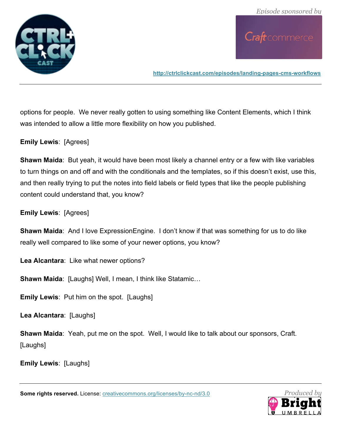

**http://ctrlclickcast.com/episodes/landing-pages-cms-workflows**

options for people. We never really gotten to using something like Content Elements, which I think was intended to allow a little more flexibility on how you published.

**Emily Lewis**: [Agrees]

**Shawn Maida**: But yeah, it would have been most likely a channel entry or a few with like variables to turn things on and off and with the conditionals and the templates, so if this doesn't exist, use this, and then really trying to put the notes into field labels or field types that like the people publishing content could understand that, you know?

**Emily Lewis**: [Agrees]

**Shawn Maida**: And I love ExpressionEngine. I don't know if that was something for us to do like really well compared to like some of your newer options, you know?

**Lea Alcantara**: Like what newer options?

**Shawn Maida**: [Laughs] Well, I mean, I think like Statamic…

**Emily Lewis**: Put him on the spot. [Laughs]

**Lea Alcantara**: [Laughs]

**Shawn Maida**: Yeah, put me on the spot. Well, I would like to talk about our sponsors, Craft. [Laughs]

**Emily Lewis**: [Laughs]

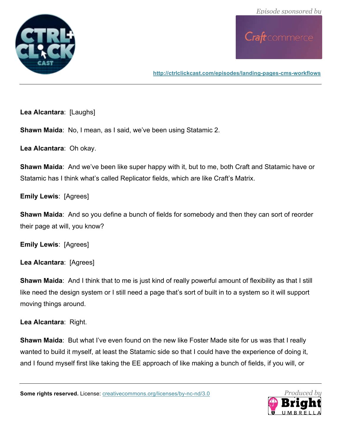

**http://ctrlclickcast.com/episodes/landing-pages-cms-workflows**

**Lea Alcantara**: [Laughs]

**Shawn Maida**: No, I mean, as I said, we've been using Statamic 2.

**Lea Alcantara**: Oh okay.

**Shawn Maida**: And we've been like super happy with it, but to me, both Craft and Statamic have or Statamic has I think what's called Replicator fields, which are like Craft's Matrix.

**Emily Lewis**: [Agrees]

**Shawn Maida**: And so you define a bunch of fields for somebody and then they can sort of reorder their page at will, you know?

**Emily Lewis**: [Agrees]

**Lea Alcantara**: [Agrees]

**Shawn Maida:** And I think that to me is just kind of really powerful amount of flexibility as that I still like need the design system or I still need a page that's sort of built in to a system so it will support moving things around.

**Lea Alcantara**: Right.

**Shawn Maida**: But what I've even found on the new like Foster Made site for us was that I really wanted to build it myself, at least the Statamic side so that I could have the experience of doing it, and I found myself first like taking the EE approach of like making a bunch of fields, if you will, or

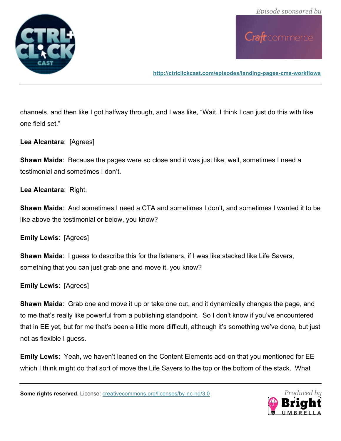

**http://ctrlclickcast.com/episodes/landing-pages-cms-workflows**

channels, and then like I got halfway through, and I was like, "Wait, I think I can just do this with like one field set."

**Lea Alcantara**: [Agrees]

**Shawn Maida:** Because the pages were so close and it was just like, well, sometimes I need a testimonial and sometimes I don't.

**Lea Alcantara**: Right.

**Shawn Maida**: And sometimes I need a CTA and sometimes I don't, and sometimes I wanted it to be like above the testimonial or below, you know?

**Emily Lewis**: [Agrees]

**Shawn Maida**: I guess to describe this for the listeners, if I was like stacked like Life Savers, something that you can just grab one and move it, you know?

**Emily Lewis**: [Agrees]

**Shawn Maida**: Grab one and move it up or take one out, and it dynamically changes the page, and to me that's really like powerful from a publishing standpoint. So I don't know if you've encountered that in EE yet, but for me that's been a little more difficult, although it's something we've done, but just not as flexible I guess.

**Emily Lewis**: Yeah, we haven't leaned on the Content Elements add-on that you mentioned for EE which I think might do that sort of move the Life Savers to the top or the bottom of the stack. What

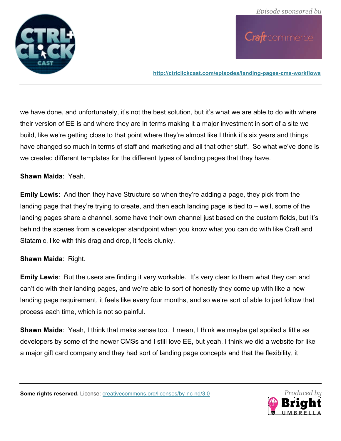

**http://ctrlclickcast.com/episodes/landing-pages-cms-workflows**

we have done, and unfortunately, it's not the best solution, but it's what we are able to do with where their version of EE is and where they are in terms making it a major investment in sort of a site we build, like we're getting close to that point where they're almost like I think it's six years and things have changed so much in terms of staff and marketing and all that other stuff. So what we've done is we created different templates for the different types of landing pages that they have.

#### **Shawn Maida**: Yeah.

**Emily Lewis**: And then they have Structure so when they're adding a page, they pick from the landing page that they're trying to create, and then each landing page is tied to – well, some of the landing pages share a channel, some have their own channel just based on the custom fields, but it's behind the scenes from a developer standpoint when you know what you can do with like Craft and Statamic, like with this drag and drop, it feels clunky.

#### **Shawn Maida**: Right.

**Emily Lewis**: But the users are finding it very workable. It's very clear to them what they can and can't do with their landing pages, and we're able to sort of honestly they come up with like a new landing page requirement, it feels like every four months, and so we're sort of able to just follow that process each time, which is not so painful.

**Shawn Maida**: Yeah, I think that make sense too. I mean, I think we maybe get spoiled a little as developers by some of the newer CMSs and I still love EE, but yeah, I think we did a website for like a major gift card company and they had sort of landing page concepts and that the flexibility, it

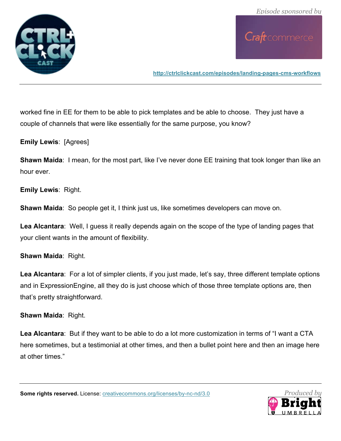

**http://ctrlclickcast.com/episodes/landing-pages-cms-workflows**

worked fine in EE for them to be able to pick templates and be able to choose. They just have a couple of channels that were like essentially for the same purpose, you know?

**Emily Lewis**: [Agrees]

**Shawn Maida**: I mean, for the most part, like I've never done EE training that took longer than like an hour ever.

**Emily Lewis**: Right.

**Shawn Maida:** So people get it, I think just us, like sometimes developers can move on.

**Lea Alcantara**: Well, I guess it really depends again on the scope of the type of landing pages that your client wants in the amount of flexibility.

**Shawn Maida**: Right.

Lea Alcantara: For a lot of simpler clients, if you just made, let's say, three different template options and in ExpressionEngine, all they do is just choose which of those three template options are, then that's pretty straightforward.

#### **Shawn Maida**: Right.

**Lea Alcantara**: But if they want to be able to do a lot more customization in terms of "I want a CTA here sometimes, but a testimonial at other times, and then a bullet point here and then an image here at other times."

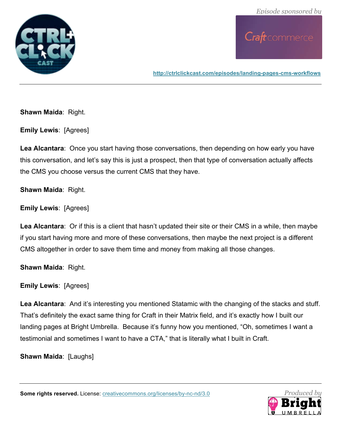

**http://ctrlclickcast.com/episodes/landing-pages-cms-workflows**

**Shawn Maida**: Right.

**Emily Lewis**: [Agrees]

**Lea Alcantara**: Once you start having those conversations, then depending on how early you have this conversation, and let's say this is just a prospect, then that type of conversation actually affects the CMS you choose versus the current CMS that they have.

**Shawn Maida**: Right.

**Emily Lewis**: [Agrees]

**Lea Alcantara**: Or if this is a client that hasn't updated their site or their CMS in a while, then maybe if you start having more and more of these conversations, then maybe the next project is a different CMS altogether in order to save them time and money from making all those changes.

**Shawn Maida**: Right.

**Emily Lewis**: [Agrees]

**Lea Alcantara**: And it's interesting you mentioned Statamic with the changing of the stacks and stuff. That's definitely the exact same thing for Craft in their Matrix field, and it's exactly how I built our landing pages at Bright Umbrella. Because it's funny how you mentioned, "Oh, sometimes I want a testimonial and sometimes I want to have a CTA," that is literally what I built in Craft.

**Shawn Maida**: [Laughs]



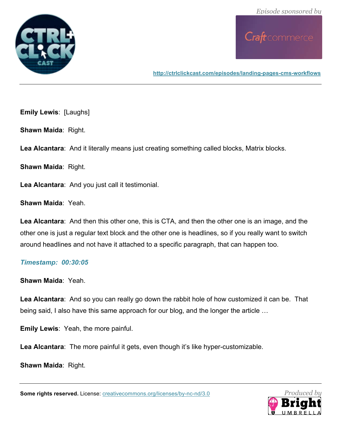

**http://ctrlclickcast.com/episodes/landing-pages-cms-workflows**

**Emily Lewis**: [Laughs]

**Shawn Maida**: Right.

**Lea Alcantara**: And it literally means just creating something called blocks, Matrix blocks.

**Shawn Maida**: Right.

**Lea Alcantara**: And you just call it testimonial.

**Shawn Maida**: Yeah.

**Lea Alcantara**: And then this other one, this is CTA, and then the other one is an image, and the other one is just a regular text block and the other one is headlines, so if you really want to switch around headlines and not have it attached to a specific paragraph, that can happen too.

#### *Timestamp: 00:30:05*

**Shawn Maida**: Yeah.

**Lea Alcantara**: And so you can really go down the rabbit hole of how customized it can be. That being said, I also have this same approach for our blog, and the longer the article …

**Emily Lewis**: Yeah, the more painful.

**Lea Alcantara**: The more painful it gets, even though it's like hyper-customizable.

**Shawn Maida**: Right.

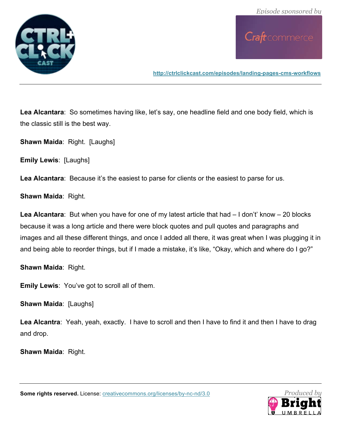

**http://ctrlclickcast.com/episodes/landing-pages-cms-workflows**

Lea Alcantara: So sometimes having like, let's say, one headline field and one body field, which is the classic still is the best way.

**Shawn Maida**: Right. [Laughs]

**Emily Lewis**: [Laughs]

Lea Alcantara: Because it's the easiest to parse for clients or the easiest to parse for us.

**Shawn Maida**: Right.

**Lea Alcantara**: But when you have for one of my latest article that had – I don't' know – 20 blocks because it was a long article and there were block quotes and pull quotes and paragraphs and images and all these different things, and once I added all there, it was great when I was plugging it in and being able to reorder things, but if I made a mistake, it's like, "Okay, which and where do I go?"

**Shawn Maida**: Right.

**Emily Lewis**: You've got to scroll all of them.

**Shawn Maida: [Laughs]** 

**Lea Alcantra**: Yeah, yeah, exactly. I have to scroll and then I have to find it and then I have to drag and drop.

**Shawn Maida**: Right.

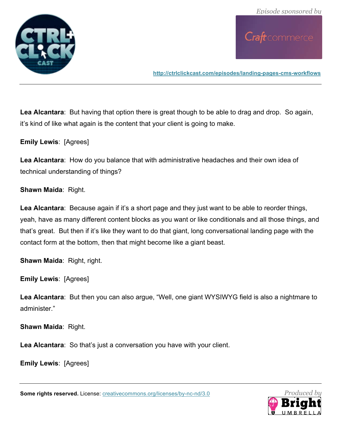

**http://ctrlclickcast.com/episodes/landing-pages-cms-workflows**

**Lea Alcantara**: But having that option there is great though to be able to drag and drop. So again, it's kind of like what again is the content that your client is going to make.

**Emily Lewis**: [Agrees]

**Lea Alcantara**: How do you balance that with administrative headaches and their own idea of technical understanding of things?

**Shawn Maida**: Right.

**Lea Alcantara**: Because again if it's a short page and they just want to be able to reorder things, yeah, have as many different content blocks as you want or like conditionals and all those things, and that's great. But then if it's like they want to do that giant, long conversational landing page with the contact form at the bottom, then that might become like a giant beast.

**Shawn Maida**: Right, right.

**Emily Lewis**: [Agrees]

**Lea Alcantara**: But then you can also argue, "Well, one giant WYSIWYG field is also a nightmare to administer."

**Shawn Maida**: Right.

**Lea Alcantara**: So that's just a conversation you have with your client.

**Emily Lewis**: [Agrees]

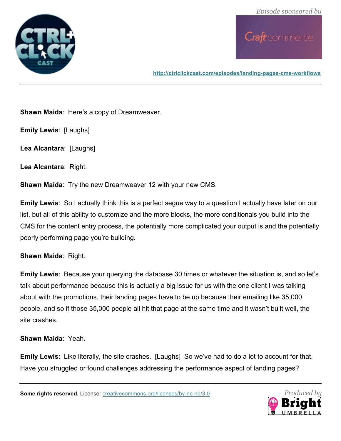

**http://ctrlclickcast.com/episodes/landing-pages-cms-workflows**

**Shawn Maida**: Here's a copy of Dreamweaver.

**Emily Lewis**: [Laughs]

**Lea Alcantara**: [Laughs]

**Lea Alcantara**: Right.

**Shawn Maida**: Try the new Dreamweaver 12 with your new CMS.

**Emily Lewis**: So I actually think this is a perfect segue way to a question I actually have later on our list, but all of this ability to customize and the more blocks, the more conditionals you build into the CMS for the content entry process, the potentially more complicated your output is and the potentially poorly performing page you're building.

#### **Shawn Maida**: Right.

**Emily Lewis**: Because your querying the database 30 times or whatever the situation is, and so let's talk about performance because this is actually a big issue for us with the one client I was talking about with the promotions, their landing pages have to be up because their emailing like 35,000 people, and so if those 35,000 people all hit that page at the same time and it wasn't built well, the site crashes.

**Shawn Maida**: Yeah.

**Emily Lewis**: Like literally, the site crashes. [Laughs] So we've had to do a lot to account for that. Have you struggled or found challenges addressing the performance aspect of landing pages?

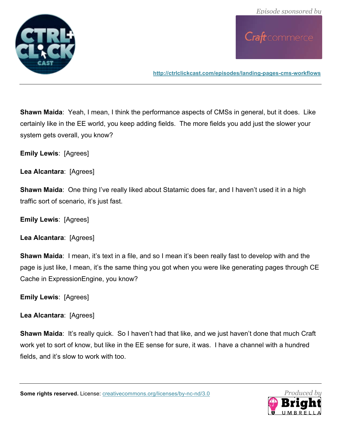

**http://ctrlclickcast.com/episodes/landing-pages-cms-workflows**

**Shawn Maida**: Yeah, I mean, I think the performance aspects of CMSs in general, but it does. Like certainly like in the EE world, you keep adding fields. The more fields you add just the slower your system gets overall, you know?

**Emily Lewis**: [Agrees]

**Lea Alcantara**: [Agrees]

**Shawn Maida**: One thing I've really liked about Statamic does far, and I haven't used it in a high traffic sort of scenario, it's just fast.

**Emily Lewis**: [Agrees]

**Lea Alcantara**: [Agrees]

**Shawn Maida**: I mean, it's text in a file, and so I mean it's been really fast to develop with and the page is just like, I mean, it's the same thing you got when you were like generating pages through CE Cache in ExpressionEngine, you know?

**Emily Lewis**: [Agrees]

**Lea Alcantara**: [Agrees]

**Shawn Maida**: It's really quick. So I haven't had that like, and we just haven't done that much Craft work yet to sort of know, but like in the EE sense for sure, it was. I have a channel with a hundred fields, and it's slow to work with too.

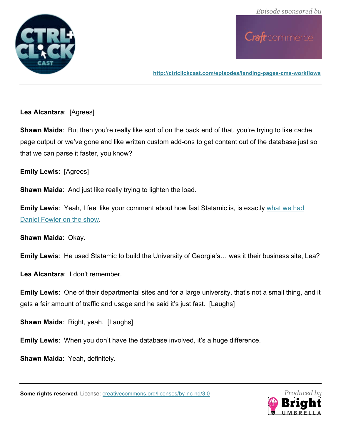

**http://ctrlclickcast.com/episodes/landing-pages-cms-workflows**

**Lea Alcantara**: [Agrees]

**Shawn Maida:** But then you're really like sort of on the back end of that, you're trying to like cache page output or we've gone and like written custom add-ons to get content out of the database just so that we can parse it faster, you know?

**Emily Lewis**: [Agrees]

**Shawn Maida**: And just like really trying to lighten the load.

**Emily Lewis**: Yeah, I feel like your comment about how fast Statamic is, is exactly what we had Daniel Fowler on the show.

**Shawn Maida**: Okay.

**Emily Lewis**: He used Statamic to build the University of Georgia's… was it their business site, Lea?

**Lea Alcantara**: I don't remember.

**Emily Lewis**: One of their departmental sites and for a large university, that's not a small thing, and it gets a fair amount of traffic and usage and he said it's just fast. [Laughs]

**Shawn Maida**: Right, yeah. [Laughs]

**Emily Lewis**: When you don't have the database involved, it's a huge difference.

**Shawn Maida**: Yeah, definitely.

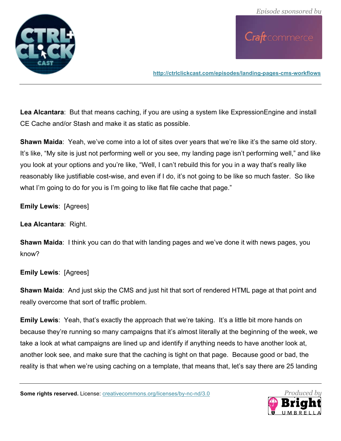

**http://ctrlclickcast.com/episodes/landing-pages-cms-workflows**

**Lea Alcantara**: But that means caching, if you are using a system like ExpressionEngine and install CE Cache and/or Stash and make it as static as possible.

**Shawn Maida**: Yeah, we've come into a lot of sites over years that we're like it's the same old story. It's like, "My site is just not performing well or you see, my landing page isn't performing well," and like you look at your options and you're like, "Well, I can't rebuild this for you in a way that's really like reasonably like justifiable cost-wise, and even if I do, it's not going to be like so much faster. So like what I'm going to do for you is I'm going to like flat file cache that page."

**Emily Lewis**: [Agrees]

**Lea Alcantara**: Right.

**Shawn Maida**: I think you can do that with landing pages and we've done it with news pages, you know?

#### **Emily Lewis**: [Agrees]

**Shawn Maida**: And just skip the CMS and just hit that sort of rendered HTML page at that point and really overcome that sort of traffic problem.

**Emily Lewis**: Yeah, that's exactly the approach that we're taking. It's a little bit more hands on because they're running so many campaigns that it's almost literally at the beginning of the week, we take a look at what campaigns are lined up and identify if anything needs to have another look at, another look see, and make sure that the caching is tight on that page. Because good or bad, the reality is that when we're using caching on a template, that means that, let's say there are 25 landing

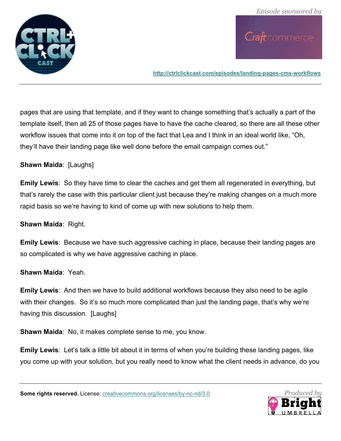

**http://ctrlclickcast.com/episodes/landing-pages-cms-workflows**

pages that are using that template, and if they want to change something that's actually a part of the template itself, then all 25 of those pages have to have the cache cleared, so there are all these other workflow issues that come into it on top of the fact that Lea and I think in an ideal world like, "Oh, they'll have their landing page like well done before the email campaign comes out."

**Shawn Maida**: [Laughs]

**Emily Lewis**: So they have time to clear the caches and get them all regenerated in everything, but that's rarely the case with this particular client just because they're making changes on a much more rapid basis so we're having to kind of come up with new solutions to help them.

**Shawn Maida**: Right.

**Emily Lewis**: Because we have such aggressive caching in place, because their landing pages are so complicated is why we have aggressive caching in place.

**Shawn Maida**: Yeah.

**Emily Lewis**: And then we have to build additional workflows because they also need to be agile with their changes. So it's so much more complicated than just the landing page, that's why we're having this discussion. [Laughs]

**Shawn Maida**: No, it makes complete sense to me, you know.

**Emily Lewis**: Let's talk a little bit about it in terms of when you're building these landing pages, like you come up with your solution, but you really need to know what the client needs in advance, do you

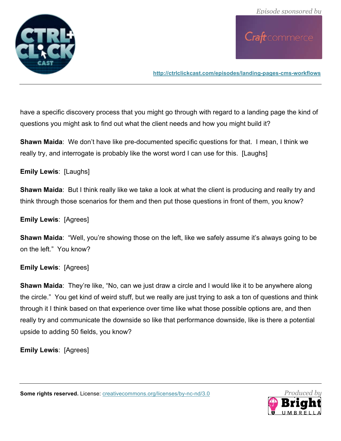

**http://ctrlclickcast.com/episodes/landing-pages-cms-workflows**

have a specific discovery process that you might go through with regard to a landing page the kind of questions you might ask to find out what the client needs and how you might build it?

**Shawn Maida**: We don't have like pre-documented specific questions for that. I mean, I think we really try, and interrogate is probably like the worst word I can use for this. [Laughs]

#### **Emily Lewis**: [Laughs]

**Shawn Maida**: But I think really like we take a look at what the client is producing and really try and think through those scenarios for them and then put those questions in front of them, you know?

#### **Emily Lewis**: [Agrees]

**Shawn Maida**: "Well, you're showing those on the left, like we safely assume it's always going to be on the left." You know?

#### **Emily Lewis**: [Agrees]

**Shawn Maida**: They're like, "No, can we just draw a circle and I would like it to be anywhere along the circle." You get kind of weird stuff, but we really are just trying to ask a ton of questions and think through it I think based on that experience over time like what those possible options are, and then really try and communicate the downside so like that performance downside, like is there a potential upside to adding 50 fields, you know?

**Emily Lewis**: [Agrees]

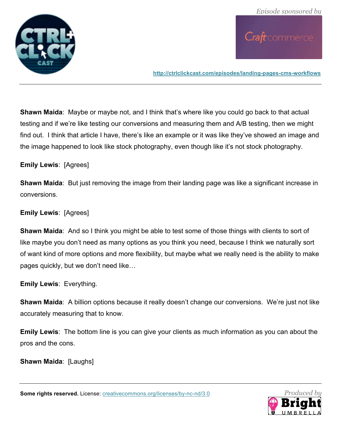

**http://ctrlclickcast.com/episodes/landing-pages-cms-workflows**

**Shawn Maida**: Maybe or maybe not, and I think that's where like you could go back to that actual testing and if we're like testing our conversions and measuring them and A/B testing, then we might find out. I think that article I have, there's like an example or it was like they've showed an image and the image happened to look like stock photography, even though like it's not stock photography.

### **Emily Lewis**: [Agrees]

**Shawn Maida**: But just removing the image from their landing page was like a significant increase in conversions.

### **Emily Lewis**: [Agrees]

**Shawn Maida**: And so I think you might be able to test some of those things with clients to sort of like maybe you don't need as many options as you think you need, because I think we naturally sort of want kind of more options and more flexibility, but maybe what we really need is the ability to make pages quickly, but we don't need like…

**Emily Lewis**: Everything.

**Shawn Maida**: A billion options because it really doesn't change our conversions. We're just not like accurately measuring that to know.

**Emily Lewis**: The bottom line is you can give your clients as much information as you can about the pros and the cons.

**Shawn Maida: [Laughs]** 

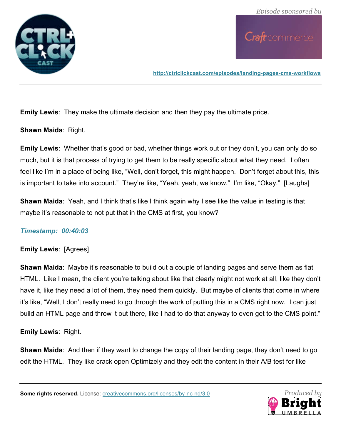

**http://ctrlclickcast.com/episodes/landing-pages-cms-workflows**

**Emily Lewis**: They make the ultimate decision and then they pay the ultimate price.

**Shawn Maida**: Right.

**Emily Lewis**: Whether that's good or bad, whether things work out or they don't, you can only do so much, but it is that process of trying to get them to be really specific about what they need. I often feel like I'm in a place of being like, "Well, don't forget, this might happen. Don't forget about this, this is important to take into account." They're like, "Yeah, yeah, we know." I'm like, "Okay." [Laughs]

**Shawn Maida**: Yeah, and I think that's like I think again why I see like the value in testing is that maybe it's reasonable to not put that in the CMS at first, you know?

## *Timestamp: 00:40:03*

## **Emily Lewis**: [Agrees]

**Shawn Maida**: Maybe it's reasonable to build out a couple of landing pages and serve them as flat HTML. Like I mean, the client you're talking about like that clearly might not work at all, like they don't have it, like they need a lot of them, they need them quickly. But maybe of clients that come in where it's like, "Well, I don't really need to go through the work of putting this in a CMS right now. I can just build an HTML page and throw it out there, like I had to do that anyway to even get to the CMS point."

**Emily Lewis**: Right.

**Shawn Maida**: And then if they want to change the copy of their landing page, they don't need to go edit the HTML. They like crack open Optimizely and they edit the content in their A/B test for like

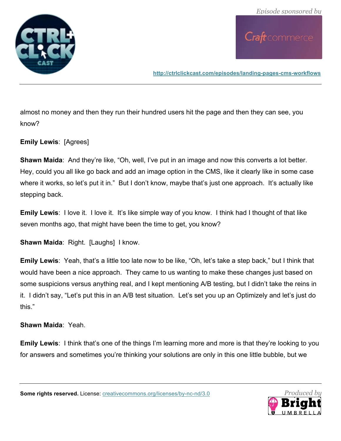

**http://ctrlclickcast.com/episodes/landing-pages-cms-workflows**

almost no money and then they run their hundred users hit the page and then they can see, you know?

**Emily Lewis**: [Agrees]

**Shawn Maida**: And they're like, "Oh, well, I've put in an image and now this converts a lot better. Hey, could you all like go back and add an image option in the CMS, like it clearly like in some case where it works, so let's put it in." But I don't know, maybe that's just one approach. It's actually like stepping back.

**Emily Lewis:** I love it. I love it. It's like simple way of you know. I think had I thought of that like seven months ago, that might have been the time to get, you know?

**Shawn Maida**: Right. [Laughs] I know.

**Emily Lewis**: Yeah, that's a little too late now to be like, "Oh, let's take a step back," but I think that would have been a nice approach. They came to us wanting to make these changes just based on some suspicions versus anything real, and I kept mentioning A/B testing, but I didn't take the reins in it. I didn't say, "Let's put this in an A/B test situation. Let's set you up an Optimizely and let's just do this."

**Shawn Maida**: Yeah.

**Emily Lewis:** I think that's one of the things I'm learning more and more is that they're looking to you for answers and sometimes you're thinking your solutions are only in this one little bubble, but we

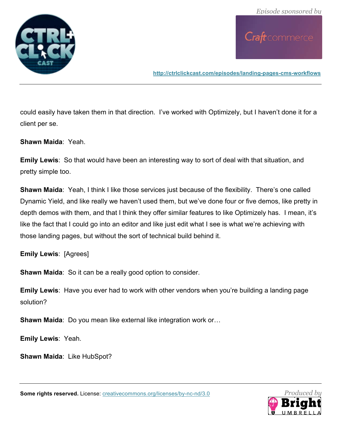

**http://ctrlclickcast.com/episodes/landing-pages-cms-workflows**

could easily have taken them in that direction. I've worked with Optimizely, but I haven't done it for a client per se.

**Shawn Maida**: Yeah.

**Emily Lewis**: So that would have been an interesting way to sort of deal with that situation, and pretty simple too.

**Shawn Maida**: Yeah, I think I like those services just because of the flexibility. There's one called Dynamic Yield, and like really we haven't used them, but we've done four or five demos, like pretty in depth demos with them, and that I think they offer similar features to like Optimizely has. I mean, it's like the fact that I could go into an editor and like just edit what I see is what we're achieving with those landing pages, but without the sort of technical build behind it.

**Emily Lewis**: [Agrees]

**Shawn Maida**: So it can be a really good option to consider.

**Emily Lewis**: Have you ever had to work with other vendors when you're building a landing page solution?

**Shawn Maida**: Do you mean like external like integration work or…

**Emily Lewis**: Yeah.

**Shawn Maida**: Like HubSpot?

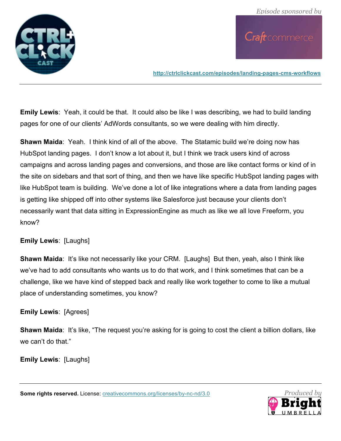

**http://ctrlclickcast.com/episodes/landing-pages-cms-workflows**

**Emily Lewis**: Yeah, it could be that. It could also be like I was describing, we had to build landing pages for one of our clients' AdWords consultants, so we were dealing with him directly.

**Shawn Maida:** Yeah. I think kind of all of the above. The Statamic build we're doing now has HubSpot landing pages. I don't know a lot about it, but I think we track users kind of across campaigns and across landing pages and conversions, and those are like contact forms or kind of in the site on sidebars and that sort of thing, and then we have like specific HubSpot landing pages with like HubSpot team is building. We've done a lot of like integrations where a data from landing pages is getting like shipped off into other systems like Salesforce just because your clients don't necessarily want that data sitting in ExpressionEngine as much as like we all love Freeform, you know?

## **Emily Lewis**: [Laughs]

**Shawn Maida**: It's like not necessarily like your CRM. [Laughs] But then, yeah, also I think like we've had to add consultants who wants us to do that work, and I think sometimes that can be a challenge, like we have kind of stepped back and really like work together to come to like a mutual place of understanding sometimes, you know?

## **Emily Lewis**: [Agrees]

**Shawn Maida:** It's like, "The request you're asking for is going to cost the client a billion dollars, like we can't do that"

**Emily Lewis**: [Laughs]

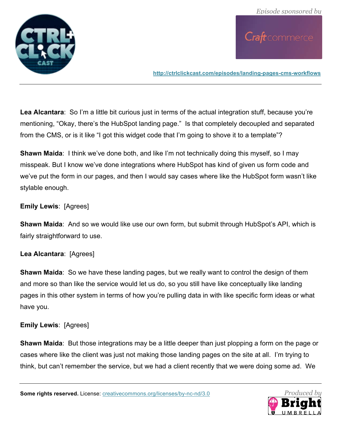

**http://ctrlclickcast.com/episodes/landing-pages-cms-workflows**

**Lea Alcantara**: So I'm a little bit curious just in terms of the actual integration stuff, because you're mentioning, "Okay, there's the HubSpot landing page." Is that completely decoupled and separated from the CMS, or is it like "I got this widget code that I'm going to shove it to a template"?

**Shawn Maida:** I think we've done both, and like I'm not technically doing this myself, so I may misspeak. But I know we've done integrations where HubSpot has kind of given us form code and we've put the form in our pages, and then I would say cases where like the HubSpot form wasn't like stylable enough.

## **Emily Lewis**: [Agrees]

**Shawn Maida**: And so we would like use our own form, but submit through HubSpot's API, which is fairly straightforward to use.

#### **Lea Alcantara**: [Agrees]

**Shawn Maida**: So we have these landing pages, but we really want to control the design of them and more so than like the service would let us do, so you still have like conceptually like landing pages in this other system in terms of how you're pulling data in with like specific form ideas or what have you.

#### **Emily Lewis**: [Agrees]

**Shawn Maida**: But those integrations may be a little deeper than just plopping a form on the page or cases where like the client was just not making those landing pages on the site at all. I'm trying to think, but can't remember the service, but we had a client recently that we were doing some ad. We

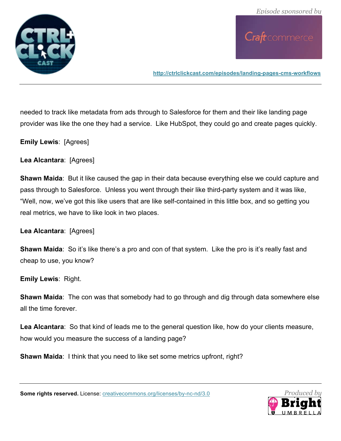

**http://ctrlclickcast.com/episodes/landing-pages-cms-workflows**

needed to track like metadata from ads through to Salesforce for them and their like landing page provider was like the one they had a service. Like HubSpot, they could go and create pages quickly.

**Emily Lewis**: [Agrees]

**Lea Alcantara**: [Agrees]

**Shawn Maida**: But it like caused the gap in their data because everything else we could capture and pass through to Salesforce. Unless you went through their like third-party system and it was like, "Well, now, we've got this like users that are like self-contained in this little box, and so getting you real metrics, we have to like look in two places.

**Lea Alcantara**: [Agrees]

**Shawn Maida**: So it's like there's a pro and con of that system. Like the pro is it's really fast and cheap to use, you know?

**Emily Lewis**: Right.

**Shawn Maida**: The con was that somebody had to go through and dig through data somewhere else all the time forever.

**Lea Alcantara**: So that kind of leads me to the general question like, how do your clients measure, how would you measure the success of a landing page?

**Shawn Maida**: I think that you need to like set some metrics upfront, right?

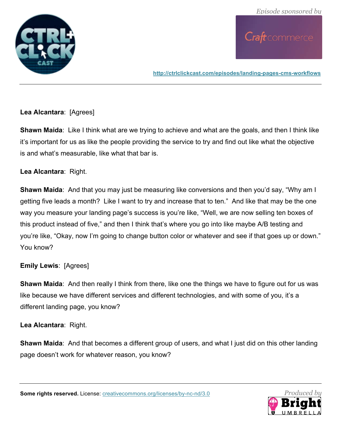

**http://ctrlclickcast.com/episodes/landing-pages-cms-workflows**

### **Lea Alcantara**: [Agrees]

**Shawn Maida**: Like I think what are we trying to achieve and what are the goals, and then I think like it's important for us as like the people providing the service to try and find out like what the objective is and what's measurable, like what that bar is.

#### **Lea Alcantara**: Right.

**Shawn Maida**: And that you may just be measuring like conversions and then you'd say, "Why am I getting five leads a month? Like I want to try and increase that to ten." And like that may be the one way you measure your landing page's success is you're like, "Well, we are now selling ten boxes of this product instead of five," and then I think that's where you go into like maybe A/B testing and you're like, "Okay, now I'm going to change button color or whatever and see if that goes up or down." You know?

## **Emily Lewis**: [Agrees]

**Shawn Maida**: And then really I think from there, like one the things we have to figure out for us was like because we have different services and different technologies, and with some of you, it's a different landing page, you know?

**Lea Alcantara**: Right.

**Shawn Maida**: And that becomes a different group of users, and what I just did on this other landing page doesn't work for whatever reason, you know?

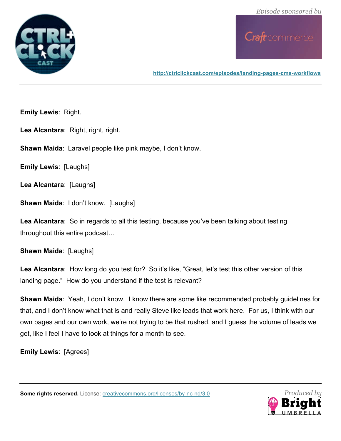

**http://ctrlclickcast.com/episodes/landing-pages-cms-workflows**

**Emily Lewis**: Right.

Lea Alcantara: Right, right, right.

**Shawn Maida**: Laravel people like pink maybe, I don't know.

**Emily Lewis**: [Laughs]

**Lea Alcantara**: [Laughs]

**Shawn Maida: I don't know. [Laughs]** 

**Lea Alcantara**: So in regards to all this testing, because you've been talking about testing throughout this entire podcast…

**Shawn Maida**: [Laughs]

**Lea Alcantara**: How long do you test for? So it's like, "Great, let's test this other version of this landing page." How do you understand if the test is relevant?

**Shawn Maida**: Yeah, I don't know. I know there are some like recommended probably guidelines for that, and I don't know what that is and really Steve like leads that work here. For us, I think with our own pages and our own work, we're not trying to be that rushed, and I guess the volume of leads we get, like I feel I have to look at things for a month to see.

**Emily Lewis**: [Agrees]

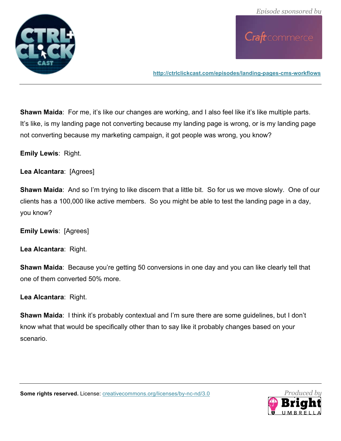

**http://ctrlclickcast.com/episodes/landing-pages-cms-workflows**

**Shawn Maida:** For me, it's like our changes are working, and I also feel like it's like multiple parts. It's like, is my landing page not converting because my landing page is wrong, or is my landing page not converting because my marketing campaign, it got people was wrong, you know?

**Emily Lewis**: Right.

**Lea Alcantara**: [Agrees]

**Shawn Maida**: And so I'm trying to like discern that a little bit. So for us we move slowly. One of our clients has a 100,000 like active members. So you might be able to test the landing page in a day, you know?

**Emily Lewis**: [Agrees]

**Lea Alcantara**: Right.

**Shawn Maida**: Because you're getting 50 conversions in one day and you can like clearly tell that one of them converted 50% more.

**Lea Alcantara**: Right.

**Shawn Maida**: I think it's probably contextual and I'm sure there are some guidelines, but I don't know what that would be specifically other than to say like it probably changes based on your scenario.

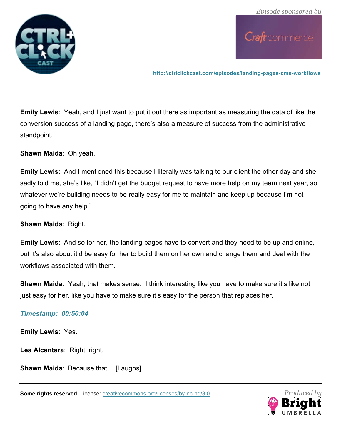

**http://ctrlclickcast.com/episodes/landing-pages-cms-workflows**

**Emily Lewis**: Yeah, and I just want to put it out there as important as measuring the data of like the conversion success of a landing page, there's also a measure of success from the administrative standpoint.

**Shawn Maida**: Oh yeah.

**Emily Lewis**: And I mentioned this because I literally was talking to our client the other day and she sadly told me, she's like, "I didn't get the budget request to have more help on my team next year, so whatever we're building needs to be really easy for me to maintain and keep up because I'm not going to have any help."

**Shawn Maida**: Right.

**Emily Lewis**: And so for her, the landing pages have to convert and they need to be up and online, but it's also about it'd be easy for her to build them on her own and change them and deal with the workflows associated with them.

**Shawn Maida**: Yeah, that makes sense. I think interesting like you have to make sure it's like not just easy for her, like you have to make sure it's easy for the person that replaces her.

#### *Timestamp: 00:50:04*

**Emily Lewis**: Yes.

**Lea Alcantara**: Right, right.

**Shawn Maida**: Because that… [Laughs]

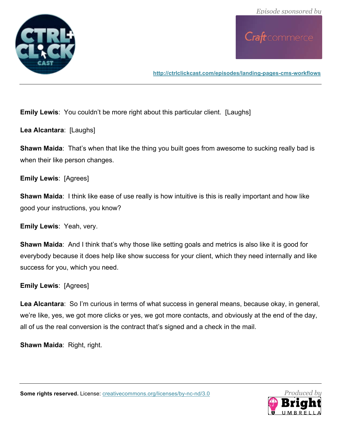

**http://ctrlclickcast.com/episodes/landing-pages-cms-workflows**

**Emily Lewis**: You couldn't be more right about this particular client. [Laughs]

**Lea Alcantara**: [Laughs]

**Shawn Maida**: That's when that like the thing you built goes from awesome to sucking really bad is when their like person changes.

**Emily Lewis**: [Agrees]

**Shawn Maida**: I think like ease of use really is how intuitive is this is really important and how like good your instructions, you know?

**Emily Lewis**: Yeah, very.

**Shawn Maida**: And I think that's why those like setting goals and metrics is also like it is good for everybody because it does help like show success for your client, which they need internally and like success for you, which you need.

#### **Emily Lewis**: [Agrees]

**Lea Alcantara**: So I'm curious in terms of what success in general means, because okay, in general, we're like, yes, we got more clicks or yes, we got more contacts, and obviously at the end of the day, all of us the real conversion is the contract that's signed and a check in the mail.

**Shawn Maida**: Right, right.

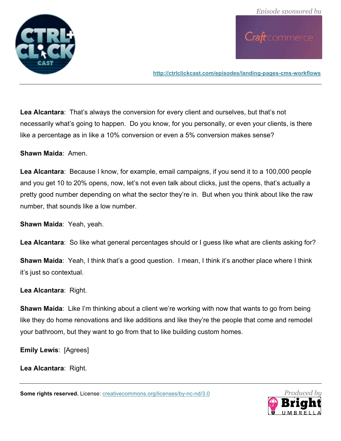

**http://ctrlclickcast.com/episodes/landing-pages-cms-workflows**

**Lea Alcantara**: That's always the conversion for every client and ourselves, but that's not necessarily what's going to happen. Do you know, for you personally, or even your clients, is there like a percentage as in like a 10% conversion or even a 5% conversion makes sense?

**Shawn Maida**: Amen.

**Lea Alcantara**: Because I know, for example, email campaigns, if you send it to a 100,000 people and you get 10 to 20% opens, now, let's not even talk about clicks, just the opens, that's actually a pretty good number depending on what the sector they're in. But when you think about like the raw number, that sounds like a low number.

**Shawn Maida**: Yeah, yeah.

**Lea Alcantara**: So like what general percentages should or I guess like what are clients asking for?

**Shawn Maida**: Yeah, I think that's a good question. I mean, I think it's another place where I think it's just so contextual.

**Lea Alcantara**: Right.

**Shawn Maida**: Like I'm thinking about a client we're working with now that wants to go from being like they do home renovations and like additions and like they're the people that come and remodel your bathroom, but they want to go from that to like building custom homes.

**Emily Lewis**: [Agrees]

**Lea Alcantara**: Right.

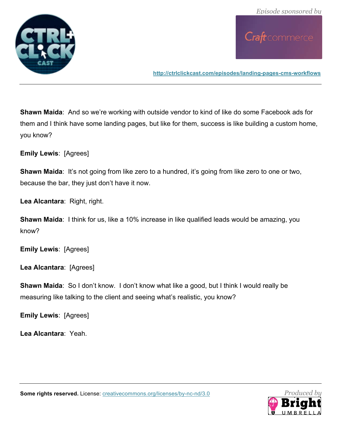

**http://ctrlclickcast.com/episodes/landing-pages-cms-workflows**

**Shawn Maida**: And so we're working with outside vendor to kind of like do some Facebook ads for them and I think have some landing pages, but like for them, success is like building a custom home, you know?

**Emily Lewis**: [Agrees]

**Shawn Maida:** It's not going from like zero to a hundred, it's going from like zero to one or two, because the bar, they just don't have it now.

**Lea Alcantara**: Right, right.

**Shawn Maida:** I think for us, like a 10% increase in like qualified leads would be amazing, you know?

**Emily Lewis**: [Agrees]

**Lea Alcantara**: [Agrees]

**Shawn Maida**: So I don't know. I don't know what like a good, but I think I would really be measuring like talking to the client and seeing what's realistic, you know?

**Emily Lewis**: [Agrees]

**Lea Alcantara**: Yeah.



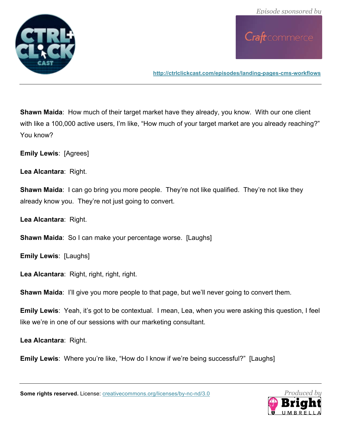

**http://ctrlclickcast.com/episodes/landing-pages-cms-workflows**

**Shawn Maida:** How much of their target market have they already, you know. With our one client with like a 100,000 active users, I'm like, "How much of your target market are you already reaching?" You know?

**Emily Lewis**: [Agrees]

**Lea Alcantara**: Right.

**Shawn Maida:** I can go bring you more people. They're not like qualified. They're not like they already know you. They're not just going to convert.

**Lea Alcantara**: Right.

**Shawn Maida**: So I can make your percentage worse. [Laughs]

**Emily Lewis**: [Laughs]

**Lea Alcantara**: Right, right, right, right.

**Shawn Maida**: I'll give you more people to that page, but we'll never going to convert them.

**Emily Lewis**: Yeah, it's got to be contextual. I mean, Lea, when you were asking this question, I feel like we're in one of our sessions with our marketing consultant.

**Lea Alcantara**: Right.

**Emily Lewis:** Where you're like, "How do I know if we're being successful?" [Laughs]

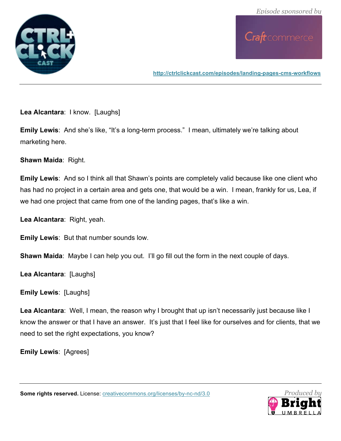

**http://ctrlclickcast.com/episodes/landing-pages-cms-workflows**

**Lea Alcantara**: I know. [Laughs]

**Emily Lewis**: And she's like, "It's a long-term process." I mean, ultimately we're talking about marketing here.

**Shawn Maida**: Right.

**Emily Lewis**: And so I think all that Shawn's points are completely valid because like one client who has had no project in a certain area and gets one, that would be a win. I mean, frankly for us, Lea, if we had one project that came from one of the landing pages, that's like a win.

**Lea Alcantara**: Right, yeah.

**Emily Lewis**: But that number sounds low.

**Shawn Maida:** Maybe I can help you out. I'll go fill out the form in the next couple of days.

**Lea Alcantara**: [Laughs]

**Emily Lewis**: [Laughs]

**Lea Alcantara**: Well, I mean, the reason why I brought that up isn't necessarily just because like I know the answer or that I have an answer. It's just that I feel like for ourselves and for clients, that we need to set the right expectations, you know?

**Emily Lewis**: [Agrees]



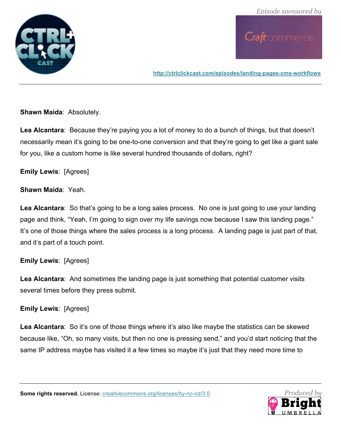

**http://ctrlclickcast.com/episodes/landing-pages-cms-workflows**

**Shawn Maida**: Absolutely.

**Lea Alcantara**: Because they're paying you a lot of money to do a bunch of things, but that doesn't necessarily mean it's going to be one-to-one conversion and that they're going to get like a giant sale for you, like a custom home is like several hundred thousands of dollars, right?

#### **Emily Lewis**: [Agrees]

#### **Shawn Maida**: Yeah.

**Lea Alcantara**: So that's going to be a long sales process. No one is just going to use your landing page and think, "Yeah, I'm going to sign over my life savings now because I saw this landing page." It's one of those things where the sales process is a long process. A landing page is just part of that, and it's part of a touch point.

#### **Emily Lewis**: [Agrees]

**Lea Alcantara**: And sometimes the landing page is just something that potential customer visits several times before they press submit.

#### **Emily Lewis**: [Agrees]

Lea Alcantara: So it's one of those things where it's also like maybe the statistics can be skewed because like, "Oh, so many visits, but then no one is pressing send," and you'd start noticing that the same IP address maybe has visited it a few times so maybe it's just that they need more time to

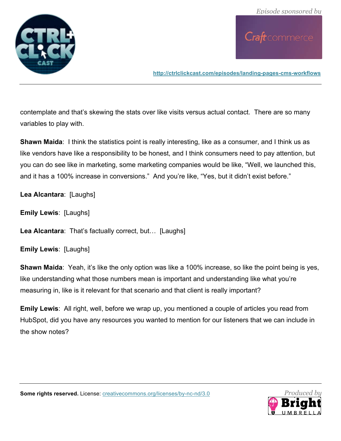

**http://ctrlclickcast.com/episodes/landing-pages-cms-workflows**

contemplate and that's skewing the stats over like visits versus actual contact. There are so many variables to play with.

**Shawn Maida:** I think the statistics point is really interesting, like as a consumer, and I think us as like vendors have like a responsibility to be honest, and I think consumers need to pay attention, but you can do see like in marketing, some marketing companies would be like, "Well, we launched this, and it has a 100% increase in conversions." And you're like, "Yes, but it didn't exist before."

**Lea Alcantara**: [Laughs]

**Emily Lewis**: [Laughs]

**Lea Alcantara**: That's factually correct, but… [Laughs]

**Emily Lewis**: [Laughs]

**Shawn Maida**: Yeah, it's like the only option was like a 100% increase, so like the point being is yes, like understanding what those numbers mean is important and understanding like what you're measuring in, like is it relevant for that scenario and that client is really important?

**Emily Lewis**: All right, well, before we wrap up, you mentioned a couple of articles you read from HubSpot, did you have any resources you wanted to mention for our listeners that we can include in the show notes?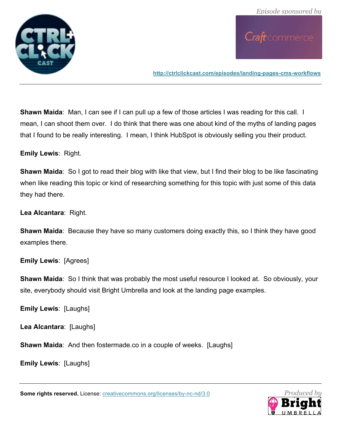

**http://ctrlclickcast.com/episodes/landing-pages-cms-workflows**

**Shawn Maida:** Man, I can see if I can pull up a few of those articles I was reading for this call. I mean, I can shoot them over. I do think that there was one about kind of the myths of landing pages that I found to be really interesting. I mean, I think HubSpot is obviously selling you their product.

**Emily Lewis**: Right.

**Shawn Maida**: So I got to read their blog with like that view, but I find their blog to be like fascinating when like reading this topic or kind of researching something for this topic with just some of this data they had there.

**Lea Alcantara**: Right.

**Shawn Maida**: Because they have so many customers doing exactly this, so I think they have good examples there.

**Emily Lewis**: [Agrees]

**Shawn Maida**: So I think that was probably the most useful resource I looked at. So obviously, your site, everybody should visit Bright Umbrella and look at the landing page examples.

**Emily Lewis**: [Laughs]

**Lea Alcantara**: [Laughs]

**Shawn Maida**: And then fostermade.co in a couple of weeks. [Laughs]

**Emily Lewis**: [Laughs]

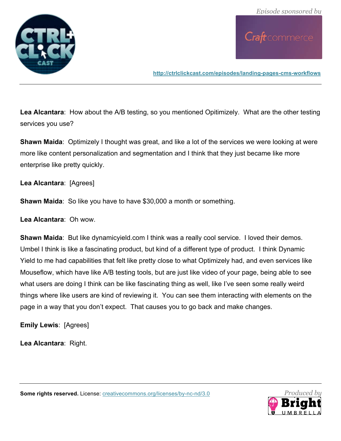

**http://ctrlclickcast.com/episodes/landing-pages-cms-workflows**

**Lea Alcantara**: How about the A/B testing, so you mentioned Opitimizely. What are the other testing services you use?

**Shawn Maida**: Optimizely I thought was great, and like a lot of the services we were looking at were more like content personalization and segmentation and I think that they just became like more enterprise like pretty quickly.

**Lea Alcantara**: [Agrees]

**Shawn Maida**: So like you have to have \$30,000 a month or something.

**Lea Alcantara**: Oh wow.

**Shawn Maida**: But like dynamicyield.com I think was a really cool service. I loved their demos. Umbel I think is like a fascinating product, but kind of a different type of product. I think Dynamic Yield to me had capabilities that felt like pretty close to what Optimizely had, and even services like Mouseflow, which have like A/B testing tools, but are just like video of your page, being able to see what users are doing I think can be like fascinating thing as well, like I've seen some really weird things where like users are kind of reviewing it. You can see them interacting with elements on the page in a way that you don't expect. That causes you to go back and make changes.

**Emily Lewis**: [Agrees]

**Lea Alcantara**: Right.

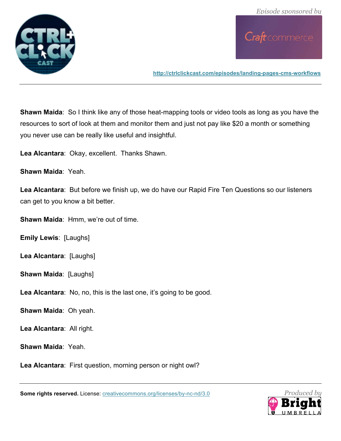

**http://ctrlclickcast.com/episodes/landing-pages-cms-workflows**

**Shawn Maida**: So I think like any of those heat-mapping tools or video tools as long as you have the resources to sort of look at them and monitor them and just not pay like \$20 a month or something you never use can be really like useful and insightful.

**Lea Alcantara**: Okay, excellent. Thanks Shawn.

**Shawn Maida**: Yeah.

**Lea Alcantara**: But before we finish up, we do have our Rapid Fire Ten Questions so our listeners can get to you know a bit better.

**Shawn Maida**: Hmm, we're out of time.

**Emily Lewis**: [Laughs]

**Lea Alcantara**: [Laughs]

**Shawn Maida: [Laughs]** 

**Lea Alcantara**: No, no, this is the last one, it's going to be good.

**Shawn Maida**: Oh yeah.

**Lea Alcantara**: All right.

**Shawn Maida**: Yeah.

**Lea Alcantara**: First question, morning person or night owl?

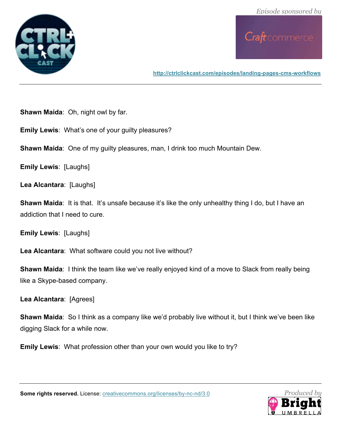

**http://ctrlclickcast.com/episodes/landing-pages-cms-workflows**

**Shawn Maida**: Oh, night owl by far.

**Emily Lewis**: What's one of your guilty pleasures?

**Shawn Maida**: One of my guilty pleasures, man, I drink too much Mountain Dew.

**Emily Lewis**: [Laughs]

**Lea Alcantara**: [Laughs]

**Shawn Maida**: It is that. It's unsafe because it's like the only unhealthy thing I do, but I have an addiction that I need to cure.

**Emily Lewis**: [Laughs]

**Lea Alcantara**: What software could you not live without?

**Shawn Maida**: I think the team like we've really enjoyed kind of a move to Slack from really being like a Skype-based company.

**Lea Alcantara**: [Agrees]

**Shawn Maida**: So I think as a company like we'd probably live without it, but I think we've been like digging Slack for a while now.

**Emily Lewis**: What profession other than your own would you like to try?

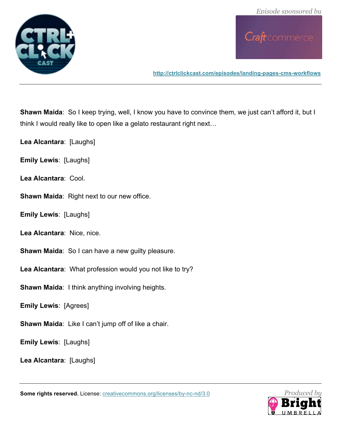



**http://ctrlclickcast.com/episodes/landing-pages-cms-workflows**

**Shawn Maida**: So I keep trying, well, I know you have to convince them, we just can't afford it, but I think I would really like to open like a gelato restaurant right next…

**Lea Alcantara**: [Laughs]

**Emily Lewis**: [Laughs]

**Lea Alcantara**: Cool.

**Shawn Maida**: Right next to our new office.

**Emily Lewis**: [Laughs]

**Lea Alcantara**: Nice, nice.

**Shawn Maida:** So I can have a new guilty pleasure.

**Lea Alcantara**: What profession would you not like to try?

**Shawn Maida**: I think anything involving heights.

**Emily Lewis**: [Agrees]

**Shawn Maida**: Like I can't jump off of like a chair.

**Emily Lewis**: [Laughs]

**Lea Alcantara**: [Laughs]

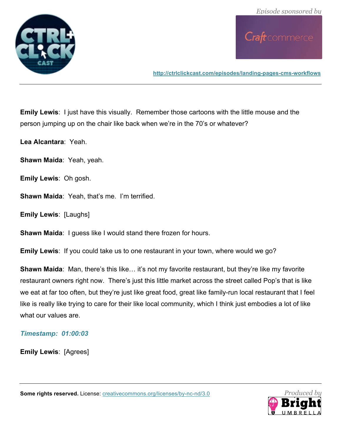

**http://ctrlclickcast.com/episodes/landing-pages-cms-workflows**

**Emily Lewis**: I just have this visually. Remember those cartoons with the little mouse and the person jumping up on the chair like back when we're in the 70's or whatever?

**Lea Alcantara**: Yeah.

**Shawn Maida**: Yeah, yeah.

**Emily Lewis**: Oh gosh.

**Shawn Maida**: Yeah, that's me. I'm terrified.

**Emily Lewis**: [Laughs]

**Shawn Maida**: I guess like I would stand there frozen for hours.

**Emily Lewis**: If you could take us to one restaurant in your town, where would we go?

**Shawn Maida:** Man, there's this like... it's not my favorite restaurant, but they're like my favorite restaurant owners right now. There's just this little market across the street called Pop's that is like we eat at far too often, but they're just like great food, great like family-run local restaurant that I feel like is really like trying to care for their like local community, which I think just embodies a lot of like what our values are.

#### *Timestamp: 01:00:03*

**Emily Lewis**: [Agrees]

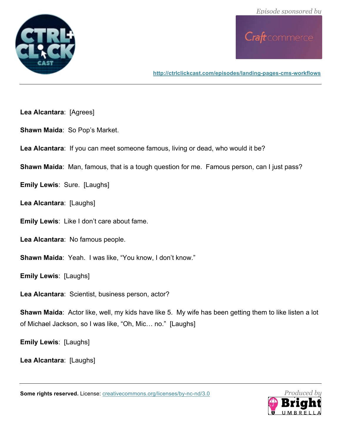

**http://ctrlclickcast.com/episodes/landing-pages-cms-workflows**

- **Lea Alcantara**: [Agrees]
- **Shawn Maida**: So Pop's Market.
- **Lea Alcantara**: If you can meet someone famous, living or dead, who would it be?
- **Shawn Maida**: Man, famous, that is a tough question for me. Famous person, can I just pass?
- **Emily Lewis**: Sure. [Laughs]
- **Lea Alcantara**: [Laughs]
- **Emily Lewis**: Like I don't care about fame.
- **Lea Alcantara**: No famous people.
- **Shawn Maida**: Yeah. I was like, "You know, I don't know."
- **Emily Lewis**: [Laughs]
- **Lea Alcantara**: Scientist, business person, actor?
- **Shawn Maida**: Actor like, well, my kids have like 5. My wife has been getting them to like listen a lot of Michael Jackson, so I was like, "Oh, Mic… no." [Laughs]
- **Emily Lewis**: [Laughs]
- **Lea Alcantara**: [Laughs]

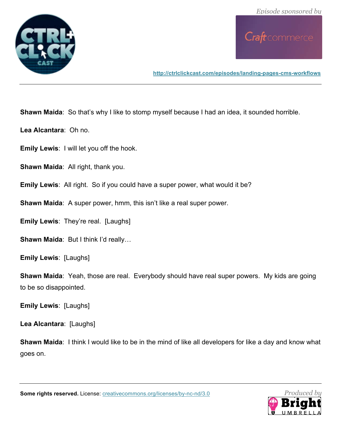

**http://ctrlclickcast.com/episodes/landing-pages-cms-workflows**

**Shawn Maida:** So that's why I like to stomp myself because I had an idea, it sounded horrible.

**Lea Alcantara**: Oh no.

**Emily Lewis**: I will let you off the hook.

**Shawn Maida**: All right, thank you.

**Emily Lewis**: All right. So if you could have a super power, what would it be?

**Shawn Maida**: A super power, hmm, this isn't like a real super power.

**Emily Lewis**: They're real. [Laughs]

**Shawn Maida**: But I think I'd really…

**Emily Lewis**: [Laughs]

**Shawn Maida**: Yeah, those are real. Everybody should have real super powers. My kids are going to be so disappointed.

**Emily Lewis**: [Laughs]

**Lea Alcantara**: [Laughs]

**Shawn Maida**: I think I would like to be in the mind of like all developers for like a day and know what goes on.

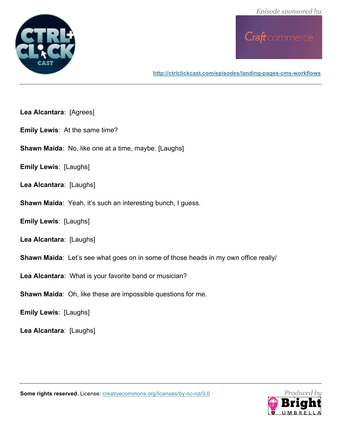



**http://ctrlclickcast.com/episodes/landing-pages-cms-workflows**

- **Lea Alcantara**: [Agrees]
- **Emily Lewis**: At the same time?
- **Shawn Maida**: No, like one at a time, maybe. [Laughs]
- **Emily Lewis**: [Laughs]
- **Lea Alcantara**: [Laughs]
- **Shawn Maida**: Yeah, it's such an interesting bunch, I guess.
- **Emily Lewis**: [Laughs]
- **Lea Alcantara**: [Laughs]
- **Shawn Maida**: Let's see what goes on in some of those heads in my own office really/
- **Lea Alcantara**: What is your favorite band or musician?
- **Shawn Maida**: Oh, like these are impossible questions for me.
- **Emily Lewis**: [Laughs]
- **Lea Alcantara**: [Laughs]



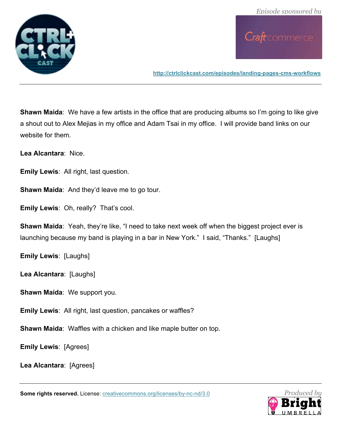

**http://ctrlclickcast.com/episodes/landing-pages-cms-workflows**

**Shawn Maida**: We have a few artists in the office that are producing albums so I'm going to like give a shout out to Alex Mejias in my office and Adam Tsai in my office. I will provide band links on our website for them.

**Lea Alcantara**: Nice.

**Emily Lewis**: All right, last question.

**Shawn Maida**: And they'd leave me to go tour.

**Emily Lewis**: Oh, really? That's cool.

**Shawn Maida**: Yeah, they're like, "I need to take next week off when the biggest project ever is launching because my band is playing in a bar in New York." I said, "Thanks." [Laughs]

**Emily Lewis**: [Laughs]

**Lea Alcantara**: [Laughs]

**Shawn Maida**: We support you.

**Emily Lewis**: All right, last question, pancakes or waffles?

**Shawn Maida**: Waffles with a chicken and like maple butter on top.

**Emily Lewis**: [Agrees]

**Lea Alcantara**: [Agrees]

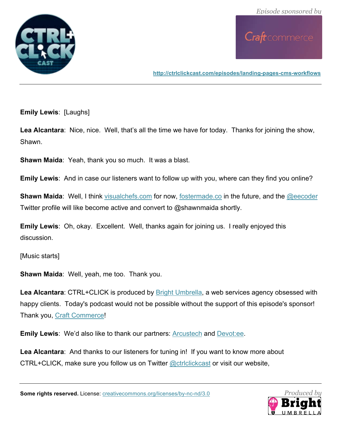

**http://ctrlclickcast.com/episodes/landing-pages-cms-workflows**

**Emily Lewis**: [Laughs]

Lea Alcantara: Nice, nice. Well, that's all the time we have for today. Thanks for joining the show, Shawn.

**Shawn Maida**: Yeah, thank you so much. It was a blast.

**Emily Lewis**: And in case our listeners want to follow up with you, where can they find you online?

**Shawn Maida:** Well, I think visualchefs.com for now, fostermade.co in the future, and the @eecoder Twitter profile will like become active and convert to @shawnmaida shortly.

**Emily Lewis**: Oh, okay. Excellent. Well, thanks again for joining us. I really enjoyed this discussion.

[Music starts]

**Shawn Maida**: Well, yeah, me too. Thank you.

Lea Alcantara: CTRL+CLICK is produced by **Bright Umbrella**, a web services agency obsessed with happy clients. Today's podcast would not be possible without the support of this episode's sponsor! Thank you, Craft Commerce!

**Emily Lewis**: We'd also like to thank our partners: Arcustech and Devot:ee.

**Lea Alcantara**: And thanks to our listeners for tuning in! If you want to know more about CTRL+CLICK, make sure you follow us on Twitter **@ctriclickcast** or visit our website,